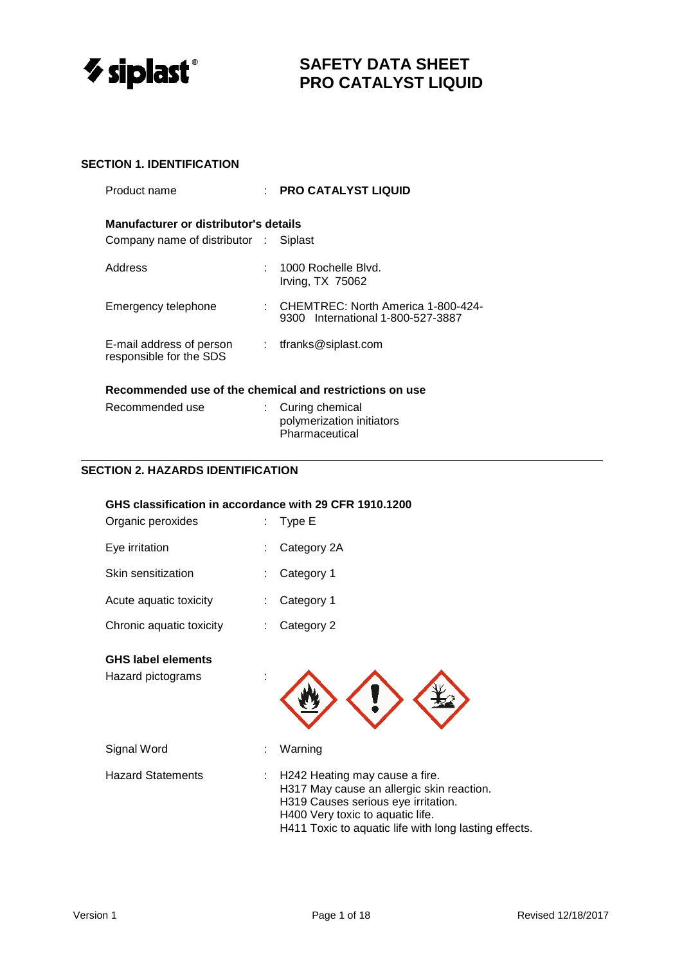

# **SECTION 1. IDENTIFICATION**

| Product name                                                           |    | <b>PRO CATALYST LIQUID</b>                                                   |  |  |  |
|------------------------------------------------------------------------|----|------------------------------------------------------------------------------|--|--|--|
| Manufacturer or distributor's details<br>Company name of distributor : |    | Siplast                                                                      |  |  |  |
| Address                                                                |    | 1000 Rochelle Blvd.<br>Irving, TX 75062                                      |  |  |  |
| Emergency telephone                                                    |    | : CHEMTREC: North America 1-800-424-<br>International 1-800-527-3887<br>9300 |  |  |  |
| E-mail address of person<br>responsible for the SDS                    | t. | tfranks@siplast.com                                                          |  |  |  |
| Recommended use of the chemical and restrictions on use                |    |                                                                              |  |  |  |

| Recommended use | : Curing chemical         |
|-----------------|---------------------------|
|                 | polymerization initiators |
|                 | Pharmaceutical            |

# **SECTION 2. HAZARDS IDENTIFICATION**

# **GHS classification in accordance with 29 CFR 1910.1200**

| Organic peroxides                              | Type E                                                                                                                                                                                                          |
|------------------------------------------------|-----------------------------------------------------------------------------------------------------------------------------------------------------------------------------------------------------------------|
| Eye irritation                                 | Category 2A                                                                                                                                                                                                     |
| Skin sensitization                             | Category 1                                                                                                                                                                                                      |
| Acute aquatic toxicity                         | Category 1                                                                                                                                                                                                      |
| Chronic aquatic toxicity                       | Category 2                                                                                                                                                                                                      |
| <b>GHS label elements</b><br>Hazard pictograms |                                                                                                                                                                                                                 |
| Signal Word                                    | Warning                                                                                                                                                                                                         |
| <b>Hazard Statements</b>                       | H242 Heating may cause a fire.<br>H317 May cause an allergic skin reaction.<br>H319 Causes serious eye irritation.<br>H400 Very toxic to aquatic life.<br>H411 Toxic to aquatic life with long lasting effects. |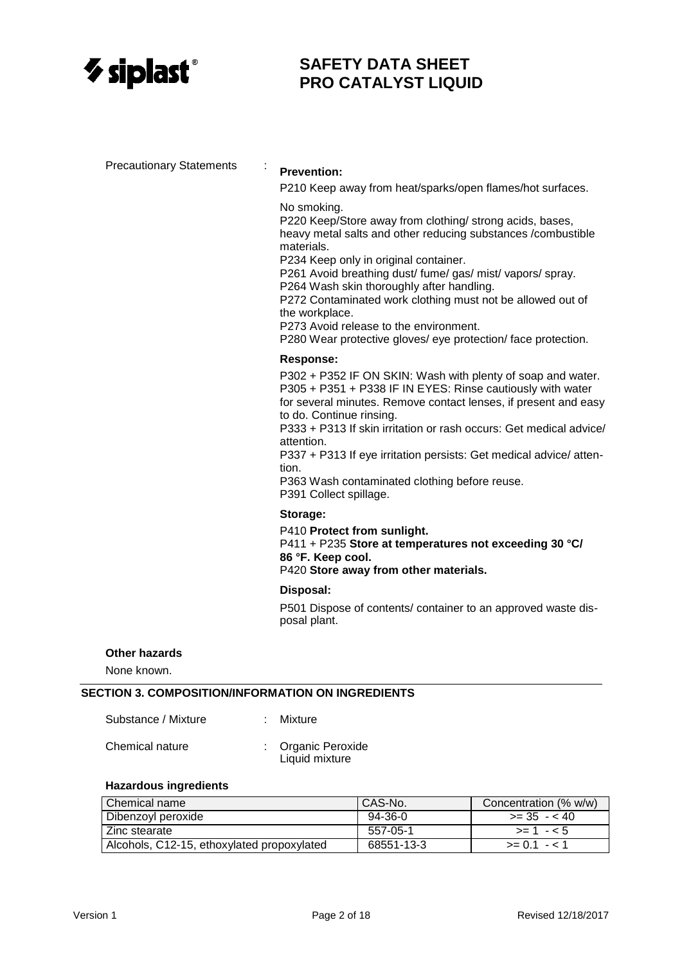

Precautionary Statements :

# **Prevention:**

P210 Keep away from heat/sparks/open flames/hot surfaces.

#### No smoking.

P220 Keep/Store away from clothing/ strong acids, bases, heavy metal salts and other reducing substances /combustible materials.

P234 Keep only in original container.

P261 Avoid breathing dust/ fume/ gas/ mist/ vapors/ spray.

P264 Wash skin thoroughly after handling.

P272 Contaminated work clothing must not be allowed out of the workplace.

P273 Avoid release to the environment.

P280 Wear protective gloves/ eye protection/ face protection.

#### **Response:**

P302 + P352 IF ON SKIN: Wash with plenty of soap and water. P305 + P351 + P338 IF IN EYES: Rinse cautiously with water for several minutes. Remove contact lenses, if present and easy to do. Continue rinsing.

P333 + P313 If skin irritation or rash occurs: Get medical advice/ attention.

P337 + P313 If eye irritation persists: Get medical advice/ attention.

P363 Wash contaminated clothing before reuse. P391 Collect spillage.

#### **Storage:**

P410 **Protect from sunlight.**

P411 + P235 **Store at temperatures not exceeding 30 °C/ 86 °F. Keep cool.**

P420 **Store away from other materials.** 

#### **Disposal:**

P501 Dispose of contents/ container to an approved waste disposal plant.

#### **Other hazards**

None known.

# **SECTION 3. COMPOSITION/INFORMATION ON INGREDIENTS**

| Substance / Mixture |  | Mixture |
|---------------------|--|---------|
|---------------------|--|---------|

Chemical nature : Organic Peroxide

Liquid mixture

#### **Hazardous ingredients**

| Chemical name                              | CAS-No.    | Concentration (% w/w) |
|--------------------------------------------|------------|-----------------------|
| <b>Dibenzoyl peroxide</b>                  | 94-36-0    | $>= 35 - 40$          |
| Zinc stearate                              | 557-05-1   | $>= 1 - 5$            |
| Alcohols, C12-15, ethoxylated propoxylated | 68551-13-3 | $>= 0.1 - 1.1$        |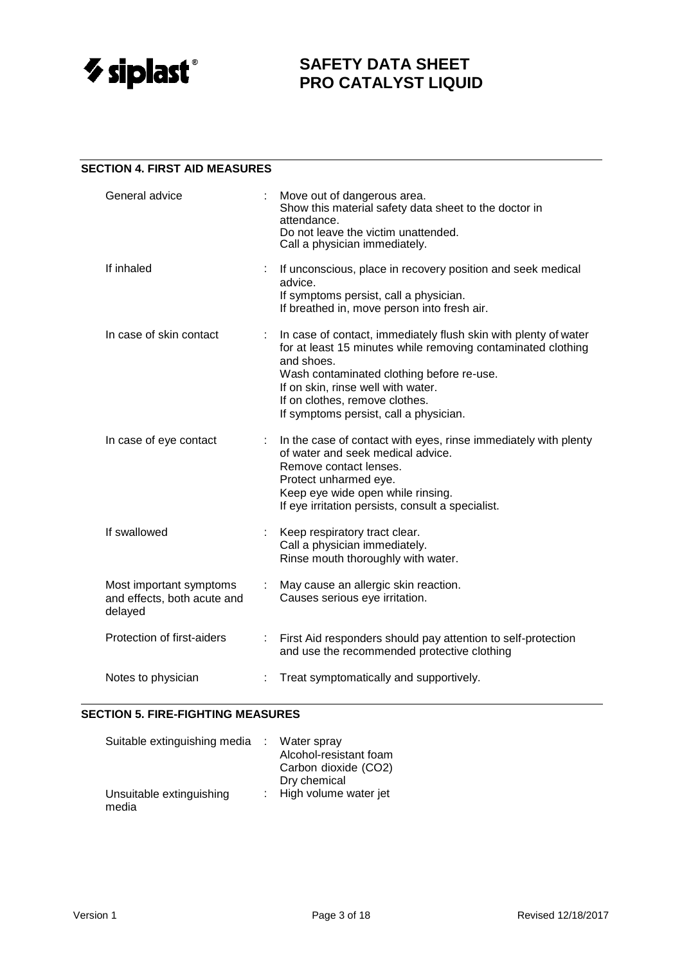

### **SECTION 4. FIRST AID MEASURES**

| General advice                                                    |    | Move out of dangerous area.<br>Show this material safety data sheet to the doctor in<br>attendance.<br>Do not leave the victim unattended.<br>Call a physician immediately.                                                                                                                                  |
|-------------------------------------------------------------------|----|--------------------------------------------------------------------------------------------------------------------------------------------------------------------------------------------------------------------------------------------------------------------------------------------------------------|
| If inhaled                                                        | ÷  | If unconscious, place in recovery position and seek medical<br>advice.<br>If symptoms persist, call a physician.<br>If breathed in, move person into fresh air.                                                                                                                                              |
| In case of skin contact                                           |    | In case of contact, immediately flush skin with plenty of water<br>for at least 15 minutes while removing contaminated clothing<br>and shoes.<br>Wash contaminated clothing before re-use.<br>If on skin, rinse well with water.<br>If on clothes, remove clothes.<br>If symptoms persist, call a physician. |
| In case of eye contact                                            |    | In the case of contact with eyes, rinse immediately with plenty<br>of water and seek medical advice.<br>Remove contact lenses.<br>Protect unharmed eye.<br>Keep eye wide open while rinsing.<br>If eye irritation persists, consult a specialist.                                                            |
| If swallowed                                                      |    | Keep respiratory tract clear.<br>Call a physician immediately.<br>Rinse mouth thoroughly with water.                                                                                                                                                                                                         |
| Most important symptoms<br>and effects, both acute and<br>delayed | ÷. | May cause an allergic skin reaction.<br>Causes serious eye irritation.                                                                                                                                                                                                                                       |
| Protection of first-aiders                                        |    | First Aid responders should pay attention to self-protection<br>and use the recommended protective clothing                                                                                                                                                                                                  |
| Notes to physician                                                |    | Treat symptomatically and supportively.                                                                                                                                                                                                                                                                      |

#### **SECTION 5. FIRE-FIGHTING MEASURES**

| Suitable extinguishing media      | Water spray<br>Alcohol-resistant foam<br>Carbon dioxide (CO2)<br>Dry chemical |
|-----------------------------------|-------------------------------------------------------------------------------|
| Unsuitable extinguishing<br>media | : High volume water jet                                                       |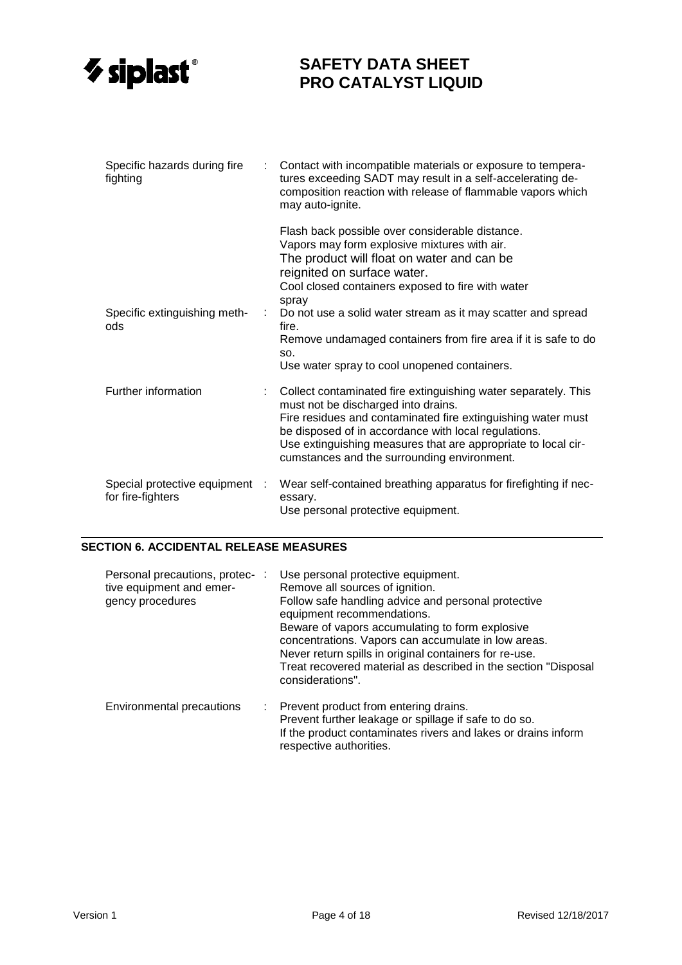

| Specific hazards during fire<br>fighting            |   | Contact with incompatible materials or exposure to tempera-<br>tures exceeding SADT may result in a self-accelerating de-<br>composition reaction with release of flammable vapors which<br>may auto-ignite.                                                                                                                                                                                                                                 |
|-----------------------------------------------------|---|----------------------------------------------------------------------------------------------------------------------------------------------------------------------------------------------------------------------------------------------------------------------------------------------------------------------------------------------------------------------------------------------------------------------------------------------|
| Specific extinguishing meth-<br>ods                 | ÷ | Flash back possible over considerable distance.<br>Vapors may form explosive mixtures with air.<br>The product will float on water and can be<br>reignited on surface water.<br>Cool closed containers exposed to fire with water<br>spray<br>Do not use a solid water stream as it may scatter and spread<br>fire.<br>Remove undamaged containers from fire area if it is safe to do<br>SO.<br>Use water spray to cool unopened containers. |
| Further information                                 |   | Collect contaminated fire extinguishing water separately. This<br>must not be discharged into drains.<br>Fire residues and contaminated fire extinguishing water must<br>be disposed of in accordance with local regulations.<br>Use extinguishing measures that are appropriate to local cir-<br>cumstances and the surrounding environment.                                                                                                |
| Special protective equipment :<br>for fire-fighters |   | Wear self-contained breathing apparatus for firefighting if nec-<br>essary.<br>Use personal protective equipment.                                                                                                                                                                                                                                                                                                                            |

#### **SECTION 6. ACCIDENTAL RELEASE MEASURES**

| Personal precautions, protec- :<br>tive equipment and emer-<br>gency procedures | Use personal protective equipment.<br>Remove all sources of ignition.<br>Follow safe handling advice and personal protective<br>equipment recommendations.<br>Beware of vapors accumulating to form explosive<br>concentrations. Vapors can accumulate in low areas.<br>Never return spills in original containers for re-use.<br>Treat recovered material as described in the section "Disposal<br>considerations". |
|---------------------------------------------------------------------------------|----------------------------------------------------------------------------------------------------------------------------------------------------------------------------------------------------------------------------------------------------------------------------------------------------------------------------------------------------------------------------------------------------------------------|
| Environmental precautions                                                       | : Prevent product from entering drains.<br>Prevent further leakage or spillage if safe to do so.<br>If the product contaminates rivers and lakes or drains inform<br>respective authorities.                                                                                                                                                                                                                         |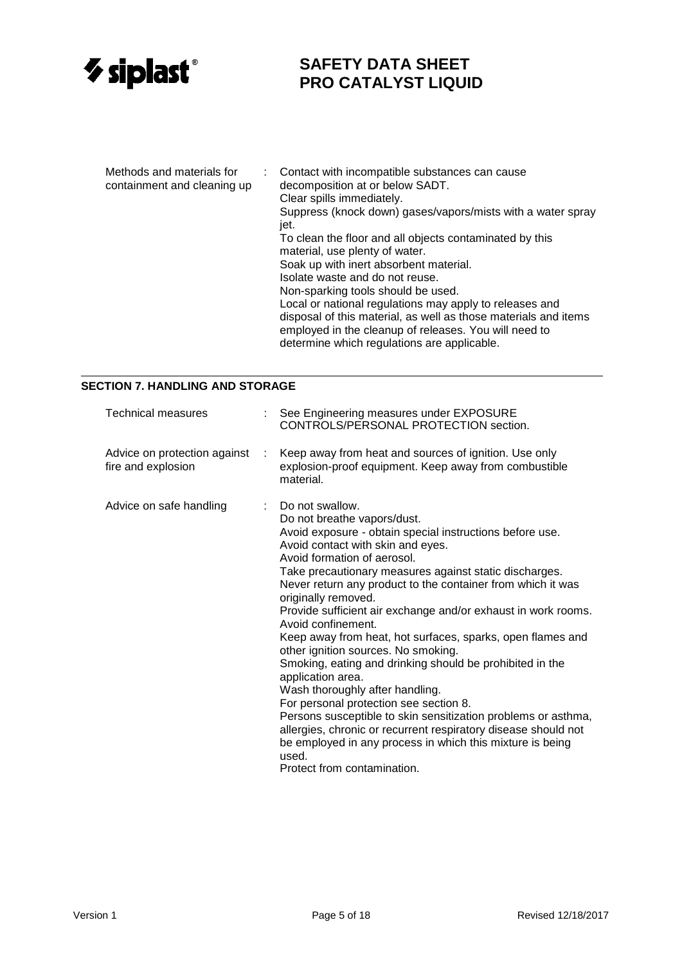

| Methods and materials for<br>containment and cleaning up |  | Contact with incompatible substances can cause<br>decomposition at or below SADT.<br>Clear spills immediately.           |
|----------------------------------------------------------|--|--------------------------------------------------------------------------------------------------------------------------|
|                                                          |  | Suppress (knock down) gases/vapors/mists with a water spray<br>jet.                                                      |
|                                                          |  | To clean the floor and all objects contaminated by this<br>material, use plenty of water.                                |
|                                                          |  | Soak up with inert absorbent material.                                                                                   |
|                                                          |  | Isolate waste and do not reuse.                                                                                          |
|                                                          |  | Non-sparking tools should be used.                                                                                       |
|                                                          |  | Local or national regulations may apply to releases and                                                                  |
|                                                          |  | disposal of this material, as well as those materials and items<br>employed in the cleanup of releases. You will need to |
|                                                          |  | determine which regulations are applicable.                                                                              |

### **SECTION 7. HANDLING AND STORAGE**

| <b>Technical measures</b>                          |      | : See Engineering measures under EXPOSURE<br>CONTROLS/PERSONAL PROTECTION section.                                                                                                                                                                                                                                                                                                                                                                                                                                                                                                                                                                                                                                                                                                                                                                                                                                                            |
|----------------------------------------------------|------|-----------------------------------------------------------------------------------------------------------------------------------------------------------------------------------------------------------------------------------------------------------------------------------------------------------------------------------------------------------------------------------------------------------------------------------------------------------------------------------------------------------------------------------------------------------------------------------------------------------------------------------------------------------------------------------------------------------------------------------------------------------------------------------------------------------------------------------------------------------------------------------------------------------------------------------------------|
| Advice on protection against<br>fire and explosion | - 11 | Keep away from heat and sources of ignition. Use only<br>explosion-proof equipment. Keep away from combustible<br>material.                                                                                                                                                                                                                                                                                                                                                                                                                                                                                                                                                                                                                                                                                                                                                                                                                   |
| Advice on safe handling                            |      | $\therefore$ Do not swallow.<br>Do not breathe vapors/dust.<br>Avoid exposure - obtain special instructions before use.<br>Avoid contact with skin and eyes.<br>Avoid formation of aerosol.<br>Take precautionary measures against static discharges.<br>Never return any product to the container from which it was<br>originally removed.<br>Provide sufficient air exchange and/or exhaust in work rooms.<br>Avoid confinement.<br>Keep away from heat, hot surfaces, sparks, open flames and<br>other ignition sources. No smoking.<br>Smoking, eating and drinking should be prohibited in the<br>application area.<br>Wash thoroughly after handling.<br>For personal protection see section 8.<br>Persons susceptible to skin sensitization problems or asthma,<br>allergies, chronic or recurrent respiratory disease should not<br>be employed in any process in which this mixture is being<br>used.<br>Protect from contamination. |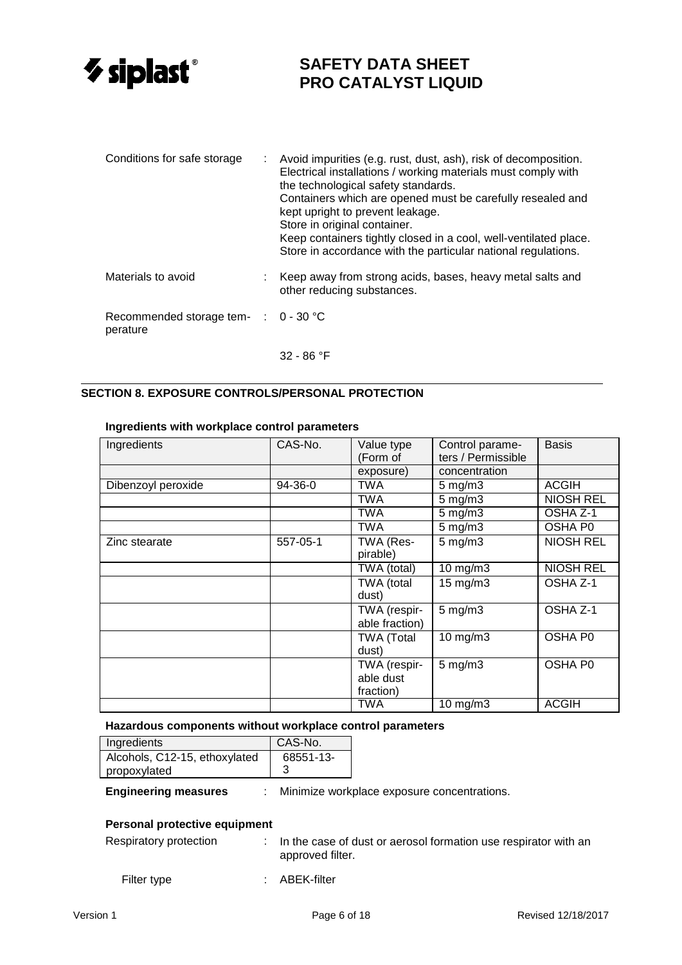

| Conditions for safe storage                                 | t. | Avoid impurities (e.g. rust, dust, ash), risk of decomposition.<br>Electrical installations / working materials must comply with<br>the technological safety standards.<br>Containers which are opened must be carefully resealed and<br>kept upright to prevent leakage.<br>Store in original container.<br>Keep containers tightly closed in a cool, well-ventilated place.<br>Store in accordance with the particular national regulations. |
|-------------------------------------------------------------|----|------------------------------------------------------------------------------------------------------------------------------------------------------------------------------------------------------------------------------------------------------------------------------------------------------------------------------------------------------------------------------------------------------------------------------------------------|
| Materials to avoid                                          |    | Keep away from strong acids, bases, heavy metal salts and<br>other reducing substances.                                                                                                                                                                                                                                                                                                                                                        |
| Recommended storage tem- $\therefore$ 0 - 30 °C<br>perature |    |                                                                                                                                                                                                                                                                                                                                                                                                                                                |

32 - 86 °F

#### **SECTION 8. EXPOSURE CONTROLS/PERSONAL PROTECTION**

### **Ingredients with workplace control parameters**

| Ingredients        | CAS-No.  | Value type<br>(Form of                 | Control parame-<br>ters / Permissible | <b>Basis</b>     |
|--------------------|----------|----------------------------------------|---------------------------------------|------------------|
|                    |          | exposure)                              | concentration                         |                  |
| Dibenzoyl peroxide | 94-36-0  | TWA                                    | $5$ mg/m $3$                          | <b>ACGIH</b>     |
|                    |          | TWA                                    | $5 \text{ mg/m}$                      | <b>NIOSH REL</b> |
|                    |          | TWA                                    | $5 \text{ mg/m}$ 3                    | OSHA Z-1         |
|                    |          | TWA                                    | $5$ mg/m $3$                          | OSHA P0          |
| Zinc stearate      | 557-05-1 | TWA (Res-<br>pirable)                  | $5$ mg/m $3$                          | <b>NIOSH REL</b> |
|                    |          | TWA (total)                            | $10$ mg/m $3$                         | <b>NIOSH REL</b> |
|                    |          | TWA (total<br>dust)                    | $15 \text{ mg/m}$ 3                   | OSHA Z-1         |
|                    |          | TWA (respir-<br>able fraction)         | $5$ mg/m $3$                          | OSHA Z-1         |
|                    |          | <b>TWA (Total</b><br>dust)             | $10$ mg/m $3$                         | OSHA P0          |
|                    |          | TWA (respir-<br>able dust<br>fraction) | $5$ mg/m $3$                          | OSHA P0          |
|                    |          | TWA                                    | $10$ mg/m $3$                         | <b>ACGIH</b>     |

#### **Hazardous components without workplace control parameters**

| Ingredients                   | CAS-No.   |
|-------------------------------|-----------|
| Alcohols, C12-15, ethoxylated | 68551-13- |
| propoxylated                  |           |

**Engineering measures** : Minimize workplace exposure concentrations.

### **Personal protective equipment**

| Respiratory protection | $\therefore$ In the case of dust or aerosol formation use respirator with an<br>approved filter. |
|------------------------|--------------------------------------------------------------------------------------------------|
|                        |                                                                                                  |

Filter type  $\qquad \qquad : \quad \text{ABEK-filter}$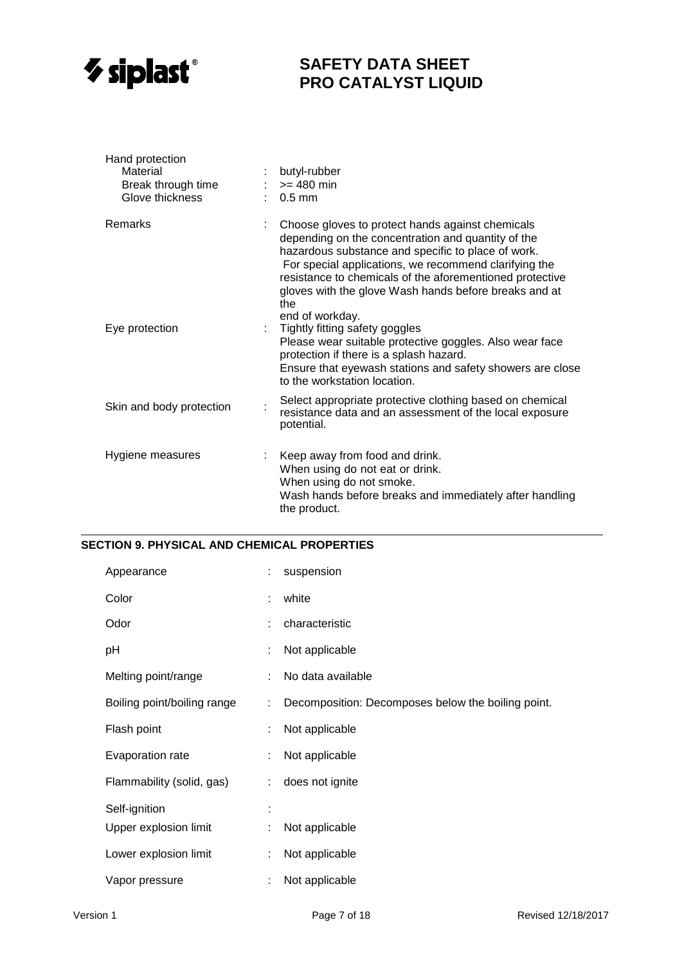

| Hand protection<br>Material<br>Break through time<br>Glove thickness | butyl-rubber<br>$: z = 480$ min<br>$: 0.5$ mm                                                                                                                                                                                                                                                                                                                        |
|----------------------------------------------------------------------|----------------------------------------------------------------------------------------------------------------------------------------------------------------------------------------------------------------------------------------------------------------------------------------------------------------------------------------------------------------------|
| Remarks                                                              | Choose gloves to protect hands against chemicals<br>depending on the concentration and quantity of the<br>hazardous substance and specific to place of work.<br>For special applications, we recommend clarifying the<br>resistance to chemicals of the aforementioned protective<br>gloves with the glove Wash hands before breaks and at<br>the<br>end of workday. |
| Eye protection                                                       | Tightly fitting safety goggles<br>Please wear suitable protective goggles. Also wear face<br>protection if there is a splash hazard.<br>Ensure that eyewash stations and safety showers are close<br>to the workstation location.                                                                                                                                    |
| Skin and body protection                                             | Select appropriate protective clothing based on chemical<br>resistance data and an assessment of the local exposure<br>potential.                                                                                                                                                                                                                                    |
| Hygiene measures                                                     | Keep away from food and drink.<br>When using do not eat or drink.<br>When using do not smoke.<br>Wash hands before breaks and immediately after handling<br>the product.                                                                                                                                                                                             |

#### **SECTION 9. PHYSICAL AND CHEMICAL PROPERTIES**

| Appearance                  | ÷. | suspension                                         |
|-----------------------------|----|----------------------------------------------------|
| Color                       | ÷  | white                                              |
| Odor                        |    | characteristic                                     |
| рH                          |    | Not applicable                                     |
| Melting point/range         |    | No data available                                  |
| Boiling point/boiling range | ÷. | Decomposition: Decomposes below the boiling point. |
| Flash point                 |    | Not applicable                                     |
| Evaporation rate            | ÷  | Not applicable                                     |
| Flammability (solid, gas)   | ÷. | does not ignite                                    |
| Self-ignition               |    |                                                    |
| Upper explosion limit       |    | Not applicable                                     |
| Lower explosion limit       |    | Not applicable                                     |
| Vapor pressure              |    | Not applicable                                     |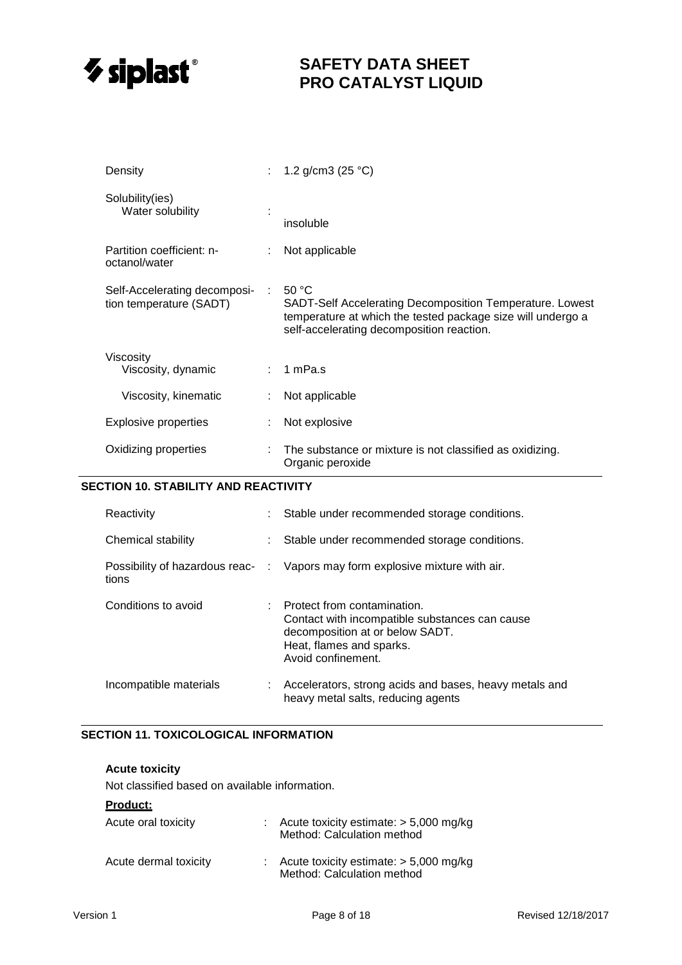

| Density                                                 |              | : 1.2 g/cm3 (25 °C)                                                                                                                                                           |
|---------------------------------------------------------|--------------|-------------------------------------------------------------------------------------------------------------------------------------------------------------------------------|
| Solubility(ies)<br>Water solubility                     |              | insoluble                                                                                                                                                                     |
| Partition coefficient: n-<br>octanol/water              |              | Not applicable                                                                                                                                                                |
| Self-Accelerating decomposi-<br>tion temperature (SADT) | <b>COLLE</b> | 50 °C<br>SADT-Self Accelerating Decomposition Temperature. Lowest<br>temperature at which the tested package size will undergo a<br>self-accelerating decomposition reaction. |
| Viscosity<br>Viscosity, dynamic                         |              | : 1 mPa.s                                                                                                                                                                     |
| Viscosity, kinematic                                    |              | Not applicable                                                                                                                                                                |
| <b>Explosive properties</b>                             |              | Not explosive                                                                                                                                                                 |
| Oxidizing properties                                    |              | The substance or mixture is not classified as oxidizing.<br>Organic peroxide                                                                                                  |

#### **SECTION 10. STABILITY AND REACTIVITY**

| Reactivity             | : Stable under recommended storage conditions.                                                                                                                       |
|------------------------|----------------------------------------------------------------------------------------------------------------------------------------------------------------------|
| Chemical stability     | : Stable under recommended storage conditions.                                                                                                                       |
| tions                  | Possibility of hazardous reac- : Vapors may form explosive mixture with air.                                                                                         |
| Conditions to avoid    | : Protect from contamination.<br>Contact with incompatible substances can cause<br>decomposition at or below SADT.<br>Heat, flames and sparks.<br>Avoid confinement. |
| Incompatible materials | : Accelerators, strong acids and bases, heavy metals and<br>heavy metal salts, reducing agents                                                                       |

### **SECTION 11. TOXICOLOGICAL INFORMATION**

### **Acute toxicity**

Not classified based on available information.

### **Product:**

| Acute oral toxicity   | : Acute toxicity estimate: $> 5,000$ mg/kg<br>Method: Calculation method |
|-----------------------|--------------------------------------------------------------------------|
| Acute dermal toxicity | Acute toxicity estimate: $> 5,000$ mg/kg<br>Method: Calculation method   |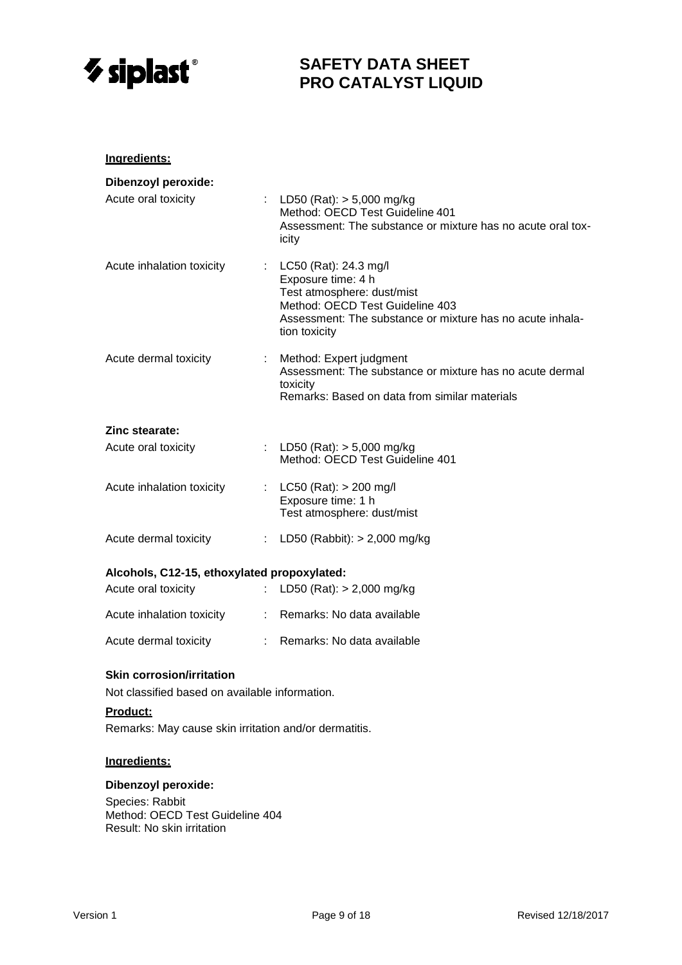

| Ingredients:                                                       |                           |                                                                                                                                                                                                |
|--------------------------------------------------------------------|---------------------------|------------------------------------------------------------------------------------------------------------------------------------------------------------------------------------------------|
| <b>Dibenzoyl peroxide:</b><br>Acute oral toxicity                  |                           | : LD50 (Rat): $> 5,000$ mg/kg<br>Method: OECD Test Guideline 401<br>Assessment: The substance or mixture has no acute oral tox-<br>icity                                                       |
| Acute inhalation toxicity                                          |                           | : $LC50$ (Rat): 24.3 mg/l<br>Exposure time: 4 h<br>Test atmosphere: dust/mist<br>Method: OECD Test Guideline 403<br>Assessment: The substance or mixture has no acute inhala-<br>tion toxicity |
| Acute dermal toxicity                                              | $\mathbb{Z}^n$ .          | Method: Expert judgment<br>Assessment: The substance or mixture has no acute dermal<br>toxicity<br>Remarks: Based on data from similar materials                                               |
| Zinc stearate:                                                     |                           |                                                                                                                                                                                                |
| Acute oral toxicity                                                |                           | : LD50 (Rat): $> 5,000$ mg/kg<br>Method: OECD Test Guideline 401                                                                                                                               |
| Acute inhalation toxicity                                          |                           | : LC50 (Rat): $> 200$ mg/l<br>Exposure time: 1 h<br>Test atmosphere: dust/mist                                                                                                                 |
| Acute dermal toxicity                                              |                           | : LD50 (Rabbit): $> 2,000$ mg/kg                                                                                                                                                               |
| Alcohols, C12-15, ethoxylated propoxylated:<br>Acute oral toxicity | $\mathbb{R}^{\mathbb{Z}}$ | LD50 (Rat): $> 2,000$ mg/kg                                                                                                                                                                    |
| Acute inhalation toxicity                                          |                           | : Remarks: No data available                                                                                                                                                                   |
| Acute dermal toxicity                                              |                           | Remarks: No data available                                                                                                                                                                     |

#### **Skin corrosion/irritation**

Not classified based on available information.

# **Product:**

Remarks: May cause skin irritation and/or dermatitis.

### **Ingredients:**

#### **Dibenzoyl peroxide:**

Species: Rabbit Method: OECD Test Guideline 404 Result: No skin irritation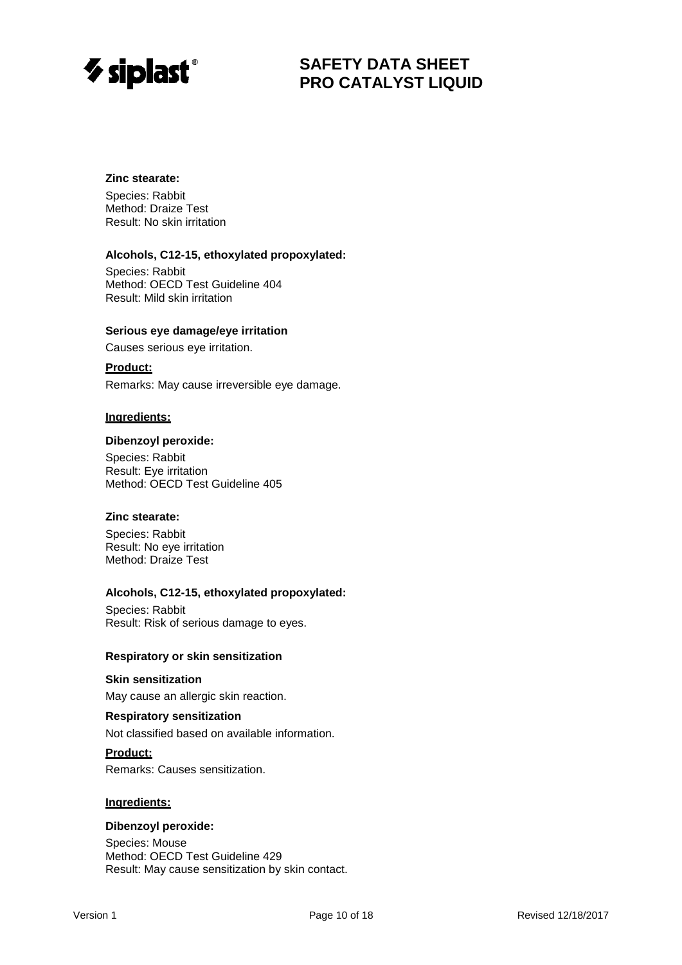

### **Zinc stearate:**

Species: Rabbit Method: Draize Test Result: No skin irritation

### **Alcohols, C12-15, ethoxylated propoxylated:**

Species: Rabbit Method: OECD Test Guideline 404 Result: Mild skin irritation

#### **Serious eye damage/eye irritation**

Causes serious eye irritation.

### **Product:**

Remarks: May cause irreversible eye damage.

#### **Ingredients:**

#### **Dibenzoyl peroxide:**

Species: Rabbit Result: Eye irritation Method: OECD Test Guideline 405

### **Zinc stearate:**

Species: Rabbit Result: No eye irritation Method: Draize Test

#### **Alcohols, C12-15, ethoxylated propoxylated:**

Species: Rabbit Result: Risk of serious damage to eyes.

#### **Respiratory or skin sensitization**

#### **Skin sensitization**

May cause an allergic skin reaction.

#### **Respiratory sensitization**

Not classified based on available information.

#### **Product:**

Remarks: Causes sensitization.

#### **Ingredients:**

#### **Dibenzoyl peroxide:**

Species: Mouse Method: OECD Test Guideline 429 Result: May cause sensitization by skin contact.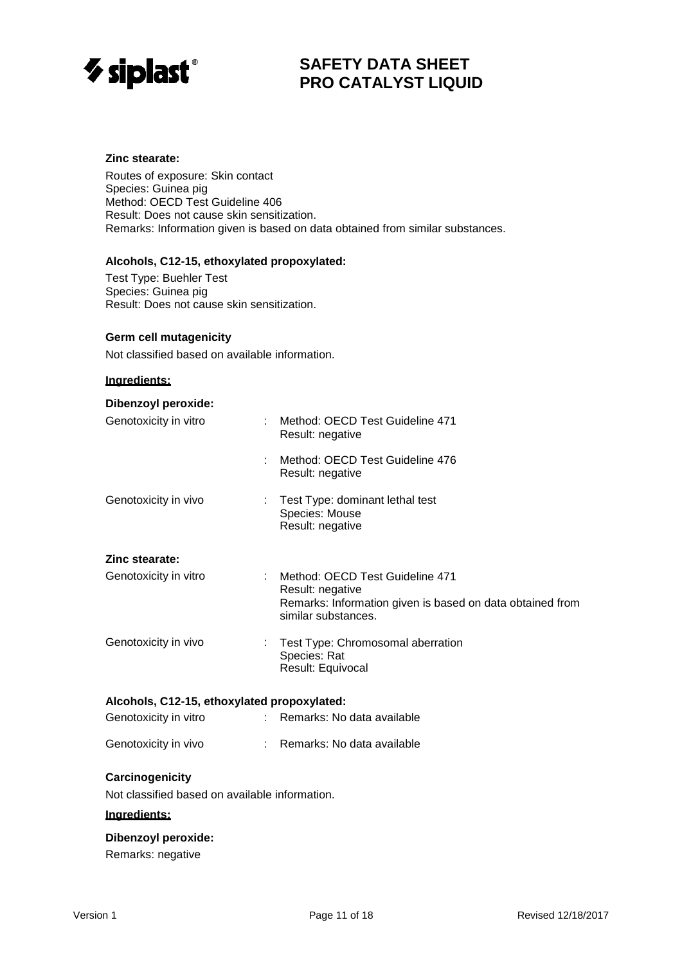

#### **Zinc stearate:**

Routes of exposure: Skin contact Species: Guinea pig Method: OECD Test Guideline 406 Result: Does not cause skin sensitization. Remarks: Information given is based on data obtained from similar substances.

#### **Alcohols, C12-15, ethoxylated propoxylated:**

Test Type: Buehler Test Species: Guinea pig Result: Does not cause skin sensitization.

#### **Germ cell mutagenicity**

Not classified based on available information.

#### **Ingredients:**

| <b>Dibenzoyl peroxide:</b>                     |                                                                                                                                         |  |  |
|------------------------------------------------|-----------------------------------------------------------------------------------------------------------------------------------------|--|--|
| Genotoxicity in vitro                          | Method: OECD Test Guideline 471<br>Result: negative                                                                                     |  |  |
|                                                | Method: OECD Test Guideline 476<br>Result: negative                                                                                     |  |  |
| Genotoxicity in vivo                           | Test Type: dominant lethal test<br>Species: Mouse<br>Result: negative                                                                   |  |  |
| Zinc stearate:                                 |                                                                                                                                         |  |  |
| Genotoxicity in vitro                          | Method: OECD Test Guideline 471<br>Result: negative<br>Remarks: Information given is based on data obtained from<br>similar substances. |  |  |
| Genotoxicity in vivo                           | Test Type: Chromosomal aberration<br>Species: Rat<br>Result: Equivocal                                                                  |  |  |
| Alcohols, C12-15, ethoxylated propoxylated:    |                                                                                                                                         |  |  |
| Genotoxicity in vitro<br>t.                    | Remarks: No data available                                                                                                              |  |  |
| Genotoxicity in vivo                           | : Remarks: No data available                                                                                                            |  |  |
| Carcinogenicity                                |                                                                                                                                         |  |  |
| Not classified based on available information. |                                                                                                                                         |  |  |

#### **Ingredients:**

### **Dibenzoyl peroxide:**

Remarks: negative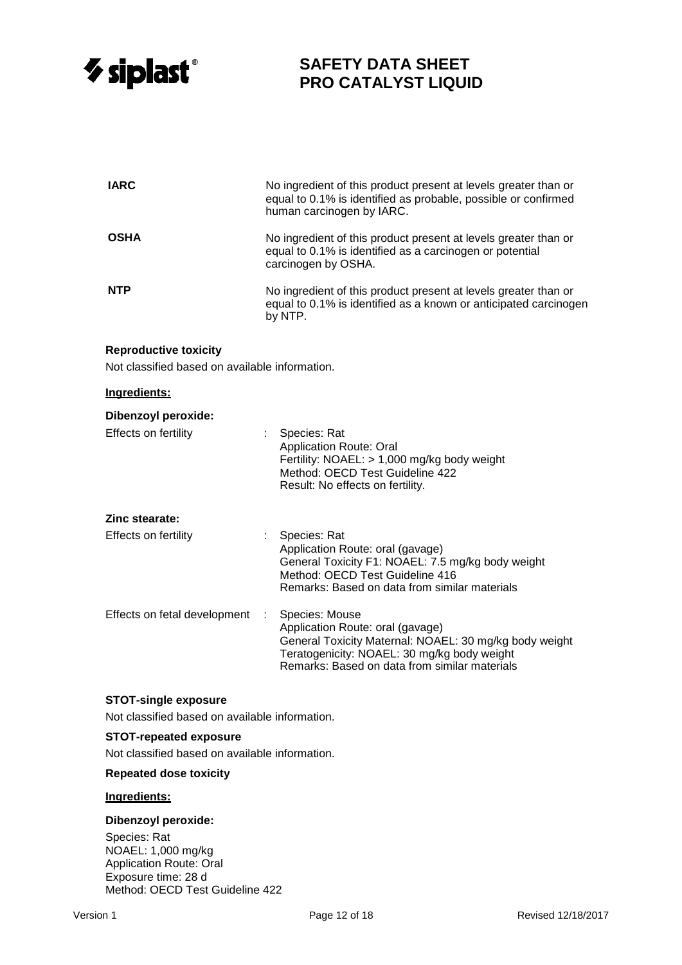

| <b>IARC</b>                                                                                 |    | No ingredient of this product present at levels greater than or<br>equal to 0.1% is identified as probable, possible or confirmed<br>human carcinogen by IARC.                                               |  |  |
|---------------------------------------------------------------------------------------------|----|--------------------------------------------------------------------------------------------------------------------------------------------------------------------------------------------------------------|--|--|
| OSHA                                                                                        |    | No ingredient of this product present at levels greater than or<br>equal to 0.1% is identified as a carcinogen or potential<br>carcinogen by OSHA.                                                           |  |  |
| <b>NTP</b>                                                                                  |    | No ingredient of this product present at levels greater than or<br>equal to 0.1% is identified as a known or anticipated carcinogen<br>by NTP.                                                               |  |  |
| <b>Reproductive toxicity</b><br>Not classified based on available information.              |    |                                                                                                                                                                                                              |  |  |
| Ingredients:                                                                                |    |                                                                                                                                                                                                              |  |  |
| <b>Dibenzoyl peroxide:</b><br>Effects on fertility                                          |    | : Species: Rat<br><b>Application Route: Oral</b><br>Fertility: NOAEL: > 1,000 mg/kg body weight<br>Method: OECD Test Guideline 422<br>Result: No effects on fertility.                                       |  |  |
| Zinc stearate:                                                                              |    |                                                                                                                                                                                                              |  |  |
| Effects on fertility                                                                        |    | Species: Rat<br>Application Route: oral (gavage)<br>General Toxicity F1: NOAEL: 7.5 mg/kg body weight<br>Method: OECD Test Guideline 416<br>Remarks: Based on data from similar materials                    |  |  |
| Effects on fetal development                                                                | ÷. | Species: Mouse<br>Application Route: oral (gavage)<br>General Toxicity Maternal: NOAEL: 30 mg/kg body weight<br>Teratogenicity: NOAEL: 30 mg/kg body weight<br>Remarks: Based on data from similar materials |  |  |
| <b>STOT-single exposure</b><br>Not classified based on available information.               |    |                                                                                                                                                                                                              |  |  |
| <b>STOT-repeated exposure</b><br>Not classified based on available information.             |    |                                                                                                                                                                                                              |  |  |
| <b>Repeated dose toxicity</b>                                                               |    |                                                                                                                                                                                                              |  |  |
| Ingredients:                                                                                |    |                                                                                                                                                                                                              |  |  |
| <b>Dibenzoyl peroxide:</b>                                                                  |    |                                                                                                                                                                                                              |  |  |
| Species: Rat<br>NOAEL: 1,000 mg/kg<br><b>Application Route: Oral</b><br>Exposure time: 28 d |    |                                                                                                                                                                                                              |  |  |

Method: OECD Test Guideline 422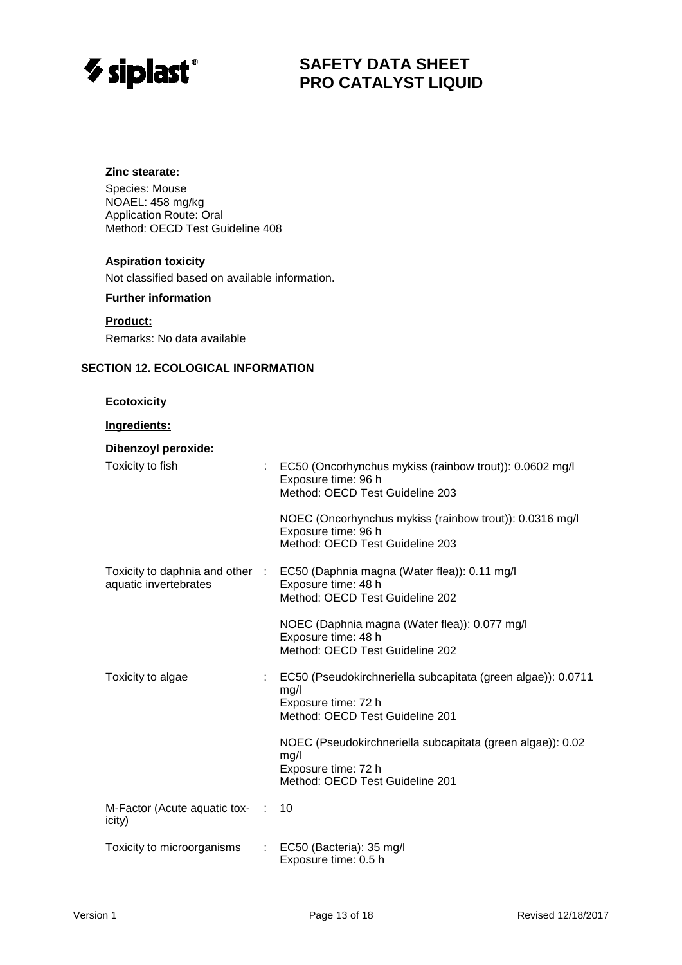

# **Zinc stearate:**

Species: Mouse NOAEL: 458 mg/kg Application Route: Oral Method: OECD Test Guideline 408

# **Aspiration toxicity**

Not classified based on available information.

**Further information**

### **Product:**

Remarks: No data available

### **SECTION 12. ECOLOGICAL INFORMATION**

#### **Ecotoxicity**

### **Ingredients:**

| <b>Dibenzoyl peroxide:</b>               |                |                                                                                                                                        |
|------------------------------------------|----------------|----------------------------------------------------------------------------------------------------------------------------------------|
| Toxicity to fish                         | $\mathbb{R}^n$ | EC50 (Oncorhynchus mykiss (rainbow trout)): 0.0602 mg/l<br>Exposure time: 96 h<br>Method: OECD Test Guideline 203                      |
|                                          |                | NOEC (Oncorhynchus mykiss (rainbow trout)): 0.0316 mg/l<br>Exposure time: 96 h<br>Method: OECD Test Guideline 203                      |
| aquatic invertebrates                    |                | Toxicity to daphnia and other : EC50 (Daphnia magna (Water flea)): 0.11 mg/l<br>Exposure time: 48 h<br>Method: OECD Test Guideline 202 |
|                                          |                | NOEC (Daphnia magna (Water flea)): 0.077 mg/l<br>Exposure time: 48 h<br>Method: OECD Test Guideline 202                                |
| Toxicity to algae                        |                | EC50 (Pseudokirchneriella subcapitata (green algae)): 0.0711<br>mg/l<br>Exposure time: 72 h<br>Method: OECD Test Guideline 201         |
|                                          |                | NOEC (Pseudokirchneriella subcapitata (green algae)): 0.02<br>mg/l<br>Exposure time: 72 h<br>Method: OECD Test Guideline 201           |
| M-Factor (Acute aquatic tox- :<br>icity) |                | 10                                                                                                                                     |
| Toxicity to microorganisms               | ÷.             | EC50 (Bacteria): 35 mg/l<br>Exposure time: 0.5 h                                                                                       |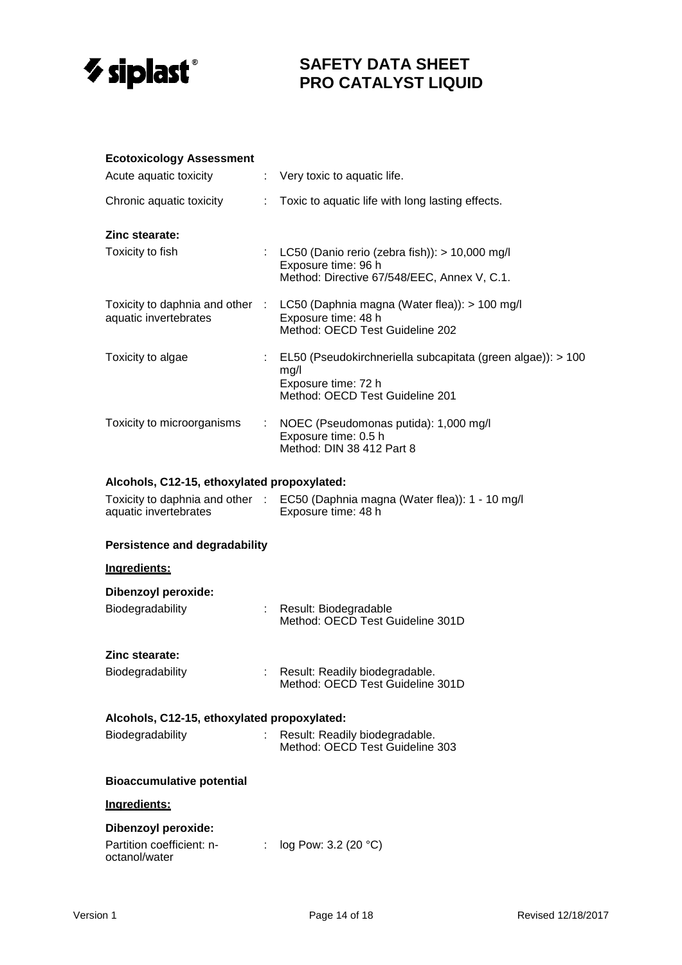

### **Ecotoxicology Assessment**

| Acute aquatic toxicity     | $\therefore$ Very toxic to aquatic life.                                                                                                |
|----------------------------|-----------------------------------------------------------------------------------------------------------------------------------------|
| Chronic aquatic toxicity   | : Toxic to aquatic life with long lasting effects.                                                                                      |
| Zinc stearate:             |                                                                                                                                         |
| Toxicity to fish           | : LC50 (Danio rerio (zebra fish)): $> 10,000$ mg/l<br>Exposure time: 96 h<br>Method: Directive 67/548/EEC, Annex V, C.1.                |
| aquatic invertebrates      | Toxicity to daphnia and other : LC50 (Daphnia magna (Water flea)): > 100 mg/l<br>Exposure time: 48 h<br>Method: OECD Test Guideline 202 |
| Toxicity to algae          | : EL50 (Pseudokirchneriella subcapitata (green algae)): $> 100$<br>mg/l<br>Exposure time: 72 h<br>Method: OECD Test Guideline 201       |
| Toxicity to microorganisms | : NOEC (Pseudomonas putida): 1,000 mg/l<br>Exposure time: 0.5 h<br>Method: DIN 38 412 Part 8                                            |

### **Alcohols, C12-15, ethoxylated propoxylated:**

| Toxicity to daphnia and other | EC50 (Daphnia magna (Water flea)): 1 - 10 mg/l |
|-------------------------------|------------------------------------------------|
| aquatic invertebrates         | Exposure time: 48 h                            |

### **Persistence and degradability**

| Ingredients:                                |    |                                                                    |  |  |  |
|---------------------------------------------|----|--------------------------------------------------------------------|--|--|--|
| Dibenzoyl peroxide:                         |    |                                                                    |  |  |  |
| Biodegradability                            | t. | Result: Biodegradable<br>Method: OECD Test Guideline 301D          |  |  |  |
| Zinc stearate:                              |    |                                                                    |  |  |  |
| Biodegradability                            |    | Result: Readily biodegradable.<br>Method: OECD Test Guideline 301D |  |  |  |
| Alcohols, C12-15, ethoxylated propoxylated: |    |                                                                    |  |  |  |
| Biodegradability                            | t. | Result: Readily biodegradable.<br>Method: OECD Test Guideline 303  |  |  |  |
| <b>Bioaccumulative potential</b>            |    |                                                                    |  |  |  |
| Ingredients:                                |    |                                                                    |  |  |  |
| Dibenzoyl peroxide:                         |    |                                                                    |  |  |  |

| Partition coefficient: n- | log Pow: 3.2 (20 $^{\circ}$ C) |
|---------------------------|--------------------------------|
| octanol/water             |                                |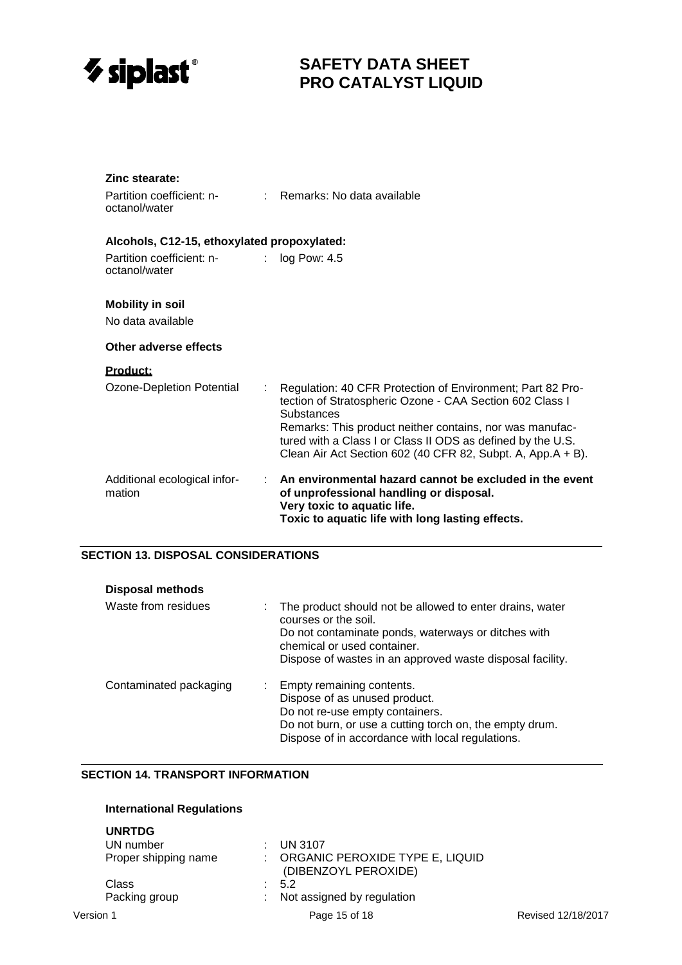

| Zinc stearate:<br>Partition coefficient: n-<br>octanol/water | : Remarks: No data available                                                                                                                                                                                                                                    |  |  |  |  |  |
|--------------------------------------------------------------|-----------------------------------------------------------------------------------------------------------------------------------------------------------------------------------------------------------------------------------------------------------------|--|--|--|--|--|
| Alcohols, C12-15, ethoxylated propoxylated:                  |                                                                                                                                                                                                                                                                 |  |  |  |  |  |
| Partition coefficient: n-<br>$\mathcal{L}$<br>octanol/water  | log Pow: 4.5                                                                                                                                                                                                                                                    |  |  |  |  |  |
| <b>Mobility in soil</b>                                      |                                                                                                                                                                                                                                                                 |  |  |  |  |  |
| No data available                                            |                                                                                                                                                                                                                                                                 |  |  |  |  |  |
| Other adverse effects                                        |                                                                                                                                                                                                                                                                 |  |  |  |  |  |
| <u>Product:</u>                                              |                                                                                                                                                                                                                                                                 |  |  |  |  |  |
| Ozone-Depletion Potential<br>÷                               | Regulation: 40 CFR Protection of Environment; Part 82 Pro-<br>tection of Stratospheric Ozone - CAA Section 602 Class I<br>Substances<br>Remarks: This product neither contains, nor was manufac-<br>tured with a Class I or Class II ODS as defined by the U.S. |  |  |  |  |  |
|                                                              | Clean Air Act Section 602 (40 CFR 82, Subpt. A, App.A + B).                                                                                                                                                                                                     |  |  |  |  |  |
| Additional ecological infor-<br>t.<br>mation                 | An environmental hazard cannot be excluded in the event<br>of unprofessional handling or disposal.<br>Very toxic to aquatic life.<br>Toxic to aquatic life with long lasting effects.                                                                           |  |  |  |  |  |

# **SECTION 13. DISPOSAL CONSIDERATIONS**

| <b>Disposal methods</b> |                                                                                                                                                                                                                                     |
|-------------------------|-------------------------------------------------------------------------------------------------------------------------------------------------------------------------------------------------------------------------------------|
| Waste from residues     | The product should not be allowed to enter drains, water<br>courses or the soil.<br>Do not contaminate ponds, waterways or ditches with<br>chemical or used container.<br>Dispose of wastes in an approved waste disposal facility. |
| Contaminated packaging  | : Empty remaining contents.<br>Dispose of as unused product.<br>Do not re-use empty containers.<br>Do not burn, or use a cutting torch on, the empty drum.<br>Dispose of in accordance with local regulations.                      |

# **SECTION 14. TRANSPORT INFORMATION**

# **International Regulations**

| <b>UNRTDG</b>        |                                                         |                    |
|----------------------|---------------------------------------------------------|--------------------|
| UN number            | <b>UN 3107</b>                                          |                    |
| Proper shipping name | ORGANIC PEROXIDE TYPE E, LIQUID<br>(DIBENZOYL PEROXIDE) |                    |
| Class                | 5.2                                                     |                    |
| Packing group        | Not assigned by regulation                              |                    |
| Version 1            | Page 15 of 18                                           | Revised 12/18/2017 |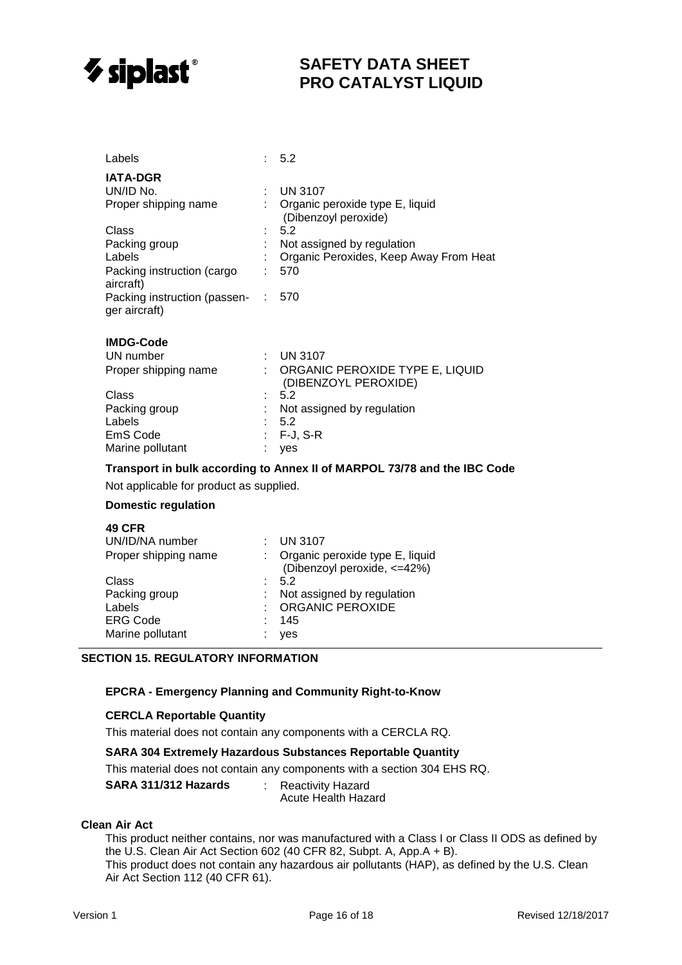

| Labels                                        |                               | $\therefore$ 5.2                                                         |
|-----------------------------------------------|-------------------------------|--------------------------------------------------------------------------|
| <b>IATA-DGR</b>                               |                               |                                                                          |
| UN/ID No.                                     |                               | $:$ UN 3107                                                              |
| Proper shipping name                          |                               | Organic peroxide type E, liquid<br>(Dibenzoyl peroxide)                  |
| Class                                         |                               | 5.2                                                                      |
| Packing group<br>Labels                       |                               | Not assigned by regulation<br>Organic Peroxides, Keep Away From Heat     |
| Packing instruction (cargo<br>aircraft)       |                               | 570                                                                      |
| Packing instruction (passen-<br>ger aircraft) |                               | - 570                                                                    |
| <b>IMDG-Code</b>                              |                               |                                                                          |
| UN number                                     |                               | $:$ UN 3107                                                              |
| Proper shipping name                          | $\mathcal{F}_{\mathcal{A}}$ . | ORGANIC PEROXIDE TYPE E, LIQUID<br>(DIBENZOYL PEROXIDE)                  |
| Class                                         |                               | 5.2                                                                      |
| Packing group                                 |                               | Not assigned by regulation                                               |
| Labels                                        |                               | 5.2                                                                      |
| EmS Code                                      |                               | F-J, S-R                                                                 |
| Marine pollutant                              |                               | yes                                                                      |
|                                               |                               | Transport in bulk according to Annex II of MARPOL 73/78 and the IBC Code |

Not applicable for product as supplied.

#### **Domestic regulation**

| <b>49 CFR</b>        |                                 |
|----------------------|---------------------------------|
| UN/ID/NA number      | <b>UN 3107</b>                  |
| Proper shipping name | Organic peroxide type E, liquid |
|                      | (Dibenzoyl peroxide, <=42%)     |
| Class                | 5.2                             |
| Packing group        | Not assigned by regulation      |
| Labels               | <b>ORGANIC PEROXIDE</b>         |
| <b>ERG Code</b>      | 145                             |
| Marine pollutant     | ves                             |
|                      |                                 |

# **SECTION 15. REGULATORY INFORMATION**

#### **EPCRA - Emergency Planning and Community Right-to-Know**

#### **CERCLA Reportable Quantity**

This material does not contain any components with a CERCLA RQ.

#### **SARA 304 Extremely Hazardous Substances Reportable Quantity**

This material does not contain any components with a section 304 EHS RQ.

**SARA 311/312 Hazards** : Reactivity Hazard

Acute Health Hazard

#### **Clean Air Act**

This product neither contains, nor was manufactured with a Class I or Class II ODS as defined by the U.S. Clean Air Act Section 602 (40 CFR 82, Subpt. A, App.A + B). This product does not contain any hazardous air pollutants (HAP), as defined by the U.S. Clean Air Act Section 112 (40 CFR 61).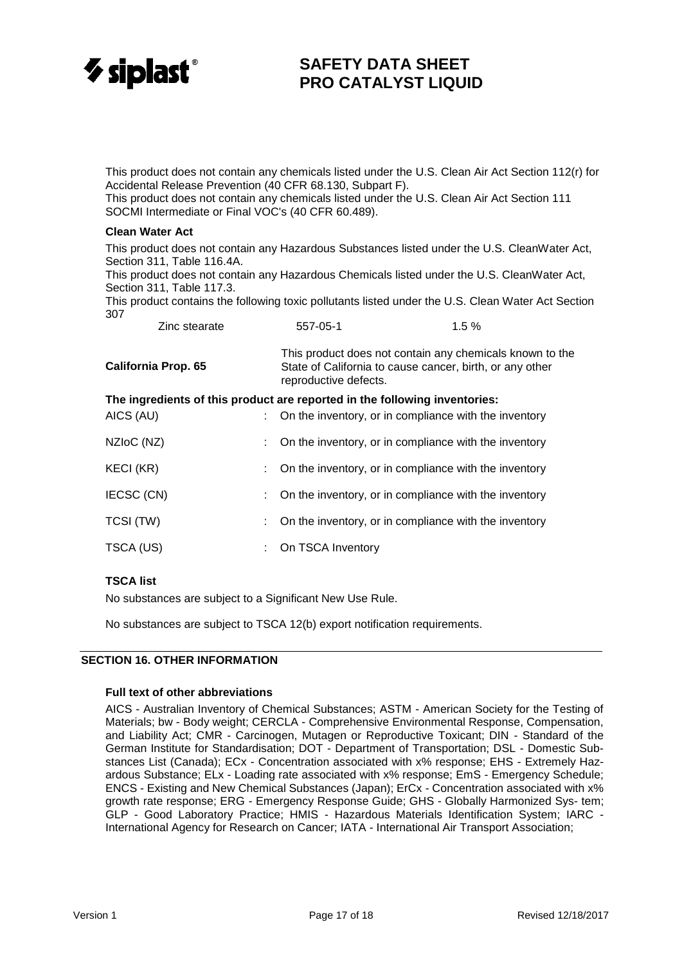

This product does not contain any chemicals listed under the U.S. Clean Air Act Section 112(r) for Accidental Release Prevention (40 CFR 68.130, Subpart F).

This product does not contain any chemicals listed under the U.S. Clean Air Act Section 111 SOCMI Intermediate or Final VOC's (40 CFR 60.489).

#### **Clean Water Act**

This product does not contain any Hazardous Substances listed under the U.S. CleanWater Act, Section 311, Table 116.4A.

This product does not contain any Hazardous Chemicals listed under the U.S. CleanWater Act, Section 311, Table 117.3.

This product contains the following toxic pollutants listed under the U.S. Clean Water Act Section 307

| Zinc stearate                                                              |    | 557-05-1                                                                                                                                      | 1.5% |  |  |
|----------------------------------------------------------------------------|----|-----------------------------------------------------------------------------------------------------------------------------------------------|------|--|--|
| <b>California Prop. 65</b>                                                 |    | This product does not contain any chemicals known to the<br>State of California to cause cancer, birth, or any other<br>reproductive defects. |      |  |  |
| The ingredients of this product are reported in the following inventories: |    |                                                                                                                                               |      |  |  |
| AICS (AU)                                                                  |    | : On the inventory, or in compliance with the inventory                                                                                       |      |  |  |
| NZIoC (NZ)                                                                 | t. | On the inventory, or in compliance with the inventory                                                                                         |      |  |  |
| KECI (KR)                                                                  | ÷. | On the inventory, or in compliance with the inventory                                                                                         |      |  |  |
| IECSC (CN)                                                                 | t. | On the inventory, or in compliance with the inventory                                                                                         |      |  |  |

| TCSI (TW) |  | On the inventory, or in compliance with the inventory |  |
|-----------|--|-------------------------------------------------------|--|

# **TSCA list**

No substances are subject to a Significant New Use Rule.

TSCA (US) : On TSCA Inventory

No substances are subject to TSCA 12(b) export notification requirements.

### **SECTION 16. OTHER INFORMATION**

#### **Full text of other abbreviations**

AICS - Australian Inventory of Chemical Substances; ASTM - American Society for the Testing of Materials; bw - Body weight; CERCLA - Comprehensive Environmental Response, Compensation, and Liability Act; CMR - Carcinogen, Mutagen or Reproductive Toxicant; DIN - Standard of the German Institute for Standardisation; DOT - Department of Transportation; DSL - Domestic Substances List (Canada); ECx - Concentration associated with x% response; EHS - Extremely Hazardous Substance; ELx - Loading rate associated with x% response; EmS - Emergency Schedule; ENCS - Existing and New Chemical Substances (Japan); ErCx - Concentration associated with x% growth rate response; ERG - Emergency Response Guide; GHS - Globally Harmonized Sys- tem; GLP - Good Laboratory Practice; HMIS - Hazardous Materials Identification System; IARC - International Agency for Research on Cancer; IATA - International Air Transport Association;